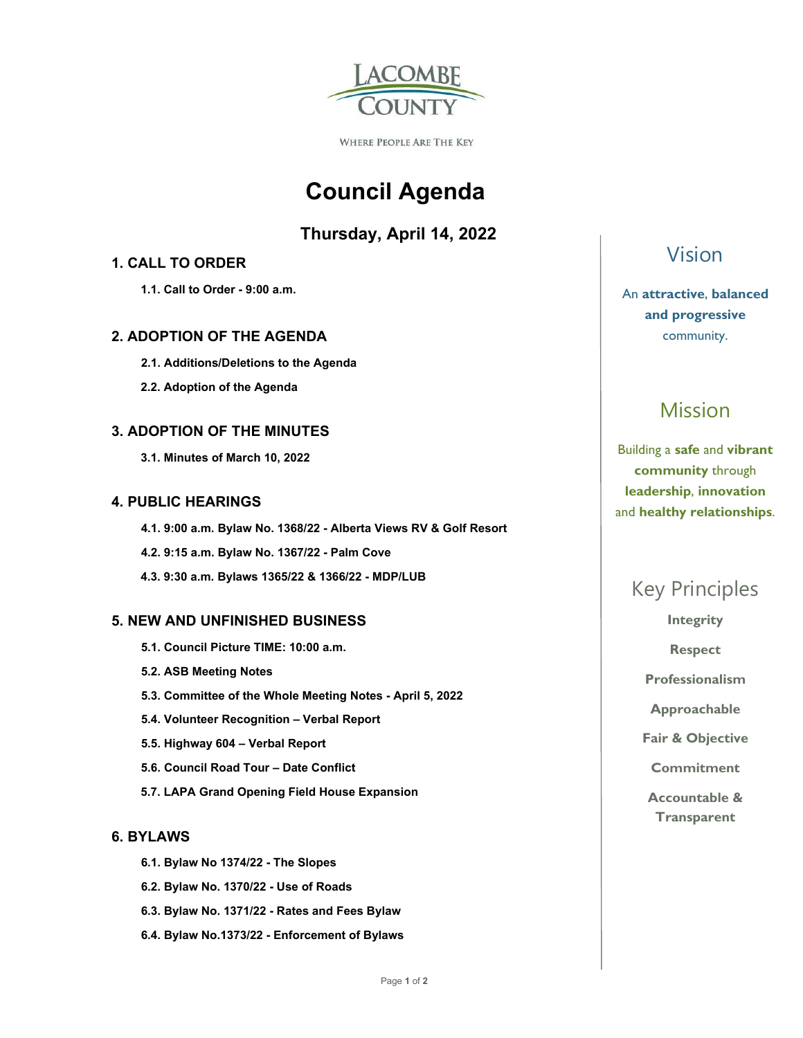

WHERE PEOPLE ARE THE KEY

# **Council Agenda**

### **Thursday, April 14, 2022**

### **1. CALL TO ORDER**

 **1.1. Call to Order - 9:00 a.m.** 

### **2. ADOPTION OF THE AGENDA**

- **2.1. Additions/Deletions to the Agenda**
- **2.2. Adoption of the Agenda**

### **3. ADOPTION OF THE MINUTES**

 **3.1. Minutes of March 10, 2022** 

#### **4. PUBLIC HEARINGS**

 **4.1. 9:00 a.m. Bylaw No. 1368/22 - Alberta Views RV & Golf Resort 4.2. 9:15 a.m. Bylaw No. 1367/22 - Palm Cove 4.3. 9:30 a.m. Bylaws 1365/22 & 1366/22 - MDP/LUB** 

### **5. NEW AND UNFINISHED BUSINESS**

- **5.1. Council Picture TIME: 10:00 a.m.**
- **5.2. ASB Meeting Notes**
- **5.3. Committee of the Whole Meeting Notes April 5, 2022**
- **5.4. Volunteer Recognition Verbal Report**
- **5.5. Highway 604 Verbal Report**
- **5.6. Council Road Tour Date Conflict**
- **5.7. LAPA Grand Opening Field House Expansion**

### **6. BYLAWS**

- **6.1. Bylaw No 1374/22 The Slopes**
- **6.2. Bylaw No. 1370/22 Use of Roads**
- **6.3. Bylaw No. 1371/22 Rates and Fees Bylaw**
- **6.4. Bylaw No.1373/22 Enforcement of Bylaws**

### Vision

### An **attractive**, **balanced and progressive**  community.

# Mission

Building a **safe** and **vibrant community** through **leadership**, **innovation**  and **healthy relationships**.

### Key Principles

**Integrity** 

**Respect** 

**Professionalism** 

**Approachable** 

**Fair & Objective** 

**Commitment** 

**Accountable & Transparent**